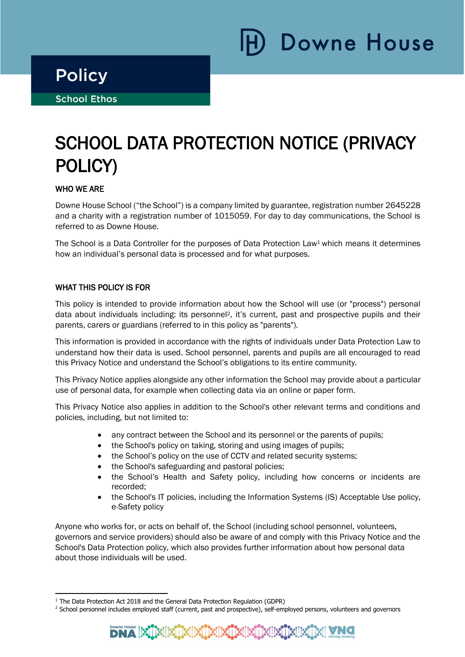Downe House

i

Ξ

# SCHOOL DATA PROTECTION NOTICE (PRIVACY POLICY)

# WHO WE ARE

Downe House School ("the School") is a company limited by guarantee, registration number 2645228 and a charity with a registration number of 1015059. For day to day communications, the School is referred to as Downe House.

The School is a Data Controller for the purposes of Data Protection Law<sup>1</sup> which means it determines how an individual's personal data is processed and for what purposes.

## WHAT THIS POLICY IS FOR

This policy is intended to provide information about how the School will use (or "process") personal data about individuals including: its personnel2, it's current, past and prospective pupils and their parents, carers or guardians (referred to in this policy as "parents").

This information is provided in accordance with the rights of individuals under Data Protection Law to understand how their data is used. School personnel, parents and pupils are all encouraged to read this Privacy Notice and understand the School's obligations to its entire community.

This Privacy Notice applies alongside any other information the School may provide about a particular use of personal data, for example when collecting data via an online or paper form.

This Privacy Notice also applies in addition to the School's other relevant terms and conditions and policies, including, but not limited to:

- any contract between the School and its personnel or the parents of pupils;
- the School's policy on taking, storing and using images of pupils;
- the School's policy on the use of CCTV and related security systems;
- the School's safeguarding and pastoral policies;
- the School's Health and Safety policy, including how concerns or incidents are recorded;
- the School's IT policies, including the Information Systems (IS) Acceptable Use policy, e-Safety policy

Anyone who works for, or acts on behalf of, the School (including school personnel, volunteers, governors and service providers) should also be aware of and comply with this Privacy Notice and the School's Data Protection policy, which also provides further information about how personal data about those individuals will be used.

<sup>&</sup>lt;sup>2</sup> School personnel includes employed staff (current, past and prospective), self-employed persons, volunteers and governors



<sup>&</sup>lt;sup>1</sup> The Data Protection Act 2018 and the General Data Protection Regulation (GDPR)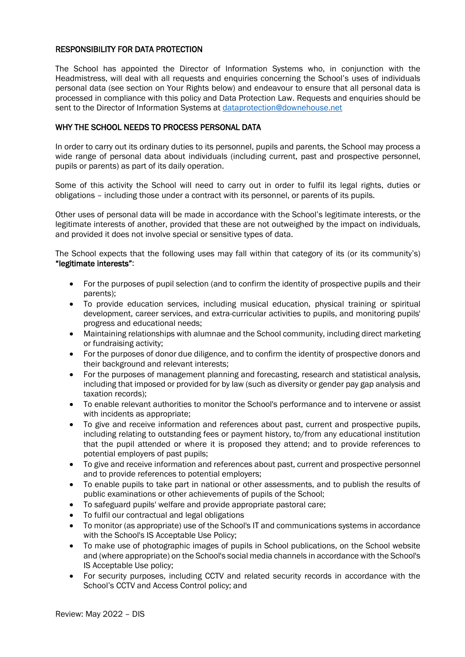### RESPONSIBILITY FOR DATA PROTECTION

The School has appointed the Director of Information Systems who, in conjunction with the Headmistress, will deal with all requests and enquiries concerning the School's uses of individuals personal data (see section on Your Rights below) and endeavour to ensure that all personal data is processed in compliance with this policy and Data Protection Law. Requests and enquiries should be sent to the Director of Information Systems at [dataprotection@downehouse.net](mailto:dataprotection@downehouse.net)

## WHY THE SCHOOL NEEDS TO PROCESS PERSONAL DATA

In order to carry out its ordinary duties to its personnel, pupils and parents, the School may process a wide range of personal data about individuals (including current, past and prospective personnel, pupils or parents) as part of its daily operation.

Some of this activity the School will need to carry out in order to fulfil its legal rights, duties or obligations – including those under a contract with its personnel, or parents of its pupils.

Other uses of personal data will be made in accordance with the School's legitimate interests, or the legitimate interests of another, provided that these are not outweighed by the impact on individuals, and provided it does not involve special or sensitive types of data.

The School expects that the following uses may fall within that category of its (or its community's) "legitimate interests":

- For the purposes of pupil selection (and to confirm the identity of prospective pupils and their parents);
- To provide education services, including musical education, physical training or spiritual development, career services, and extra-curricular activities to pupils, and monitoring pupils' progress and educational needs;
- Maintaining relationships with alumnae and the School community, including direct marketing or fundraising activity;
- For the purposes of donor due diligence, and to confirm the identity of prospective donors and their background and relevant interests;
- For the purposes of management planning and forecasting, research and statistical analysis, including that imposed or provided for by law (such as diversity or gender pay gap analysis and taxation records);
- To enable relevant authorities to monitor the School's performance and to intervene or assist with incidents as appropriate;
- To give and receive information and references about past, current and prospective pupils, including relating to outstanding fees or payment history, to/from any educational institution that the pupil attended or where it is proposed they attend; and to provide references to potential employers of past pupils;
- To give and receive information and references about past, current and prospective personnel and to provide references to potential employers;
- To enable pupils to take part in national or other assessments, and to publish the results of public examinations or other achievements of pupils of the School;
- To safeguard pupils' welfare and provide appropriate pastoral care;
- To fulfil our contractual and legal obligations
- To monitor (as appropriate) use of the School's IT and communications systems in accordance with the School's IS Acceptable Use Policy;
- To make use of photographic images of pupils in School publications, on the School website and (where appropriate) on the School's social media channels in accordance with the School's IS Acceptable Use policy;
- For security purposes, including CCTV and related security records in accordance with the School's CCTV and Access Control policy; and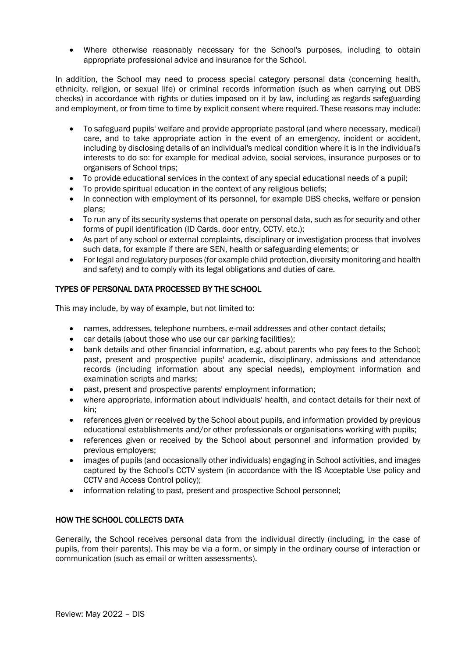• Where otherwise reasonably necessary for the School's purposes, including to obtain appropriate professional advice and insurance for the School.

In addition, the School may need to process special category personal data (concerning health, ethnicity, religion, or sexual life) or criminal records information (such as when carrying out DBS checks) in accordance with rights or duties imposed on it by law, including as regards safeguarding and employment, or from time to time by explicit consent where required. These reasons may include:

- To safeguard pupils' welfare and provide appropriate pastoral (and where necessary, medical) care, and to take appropriate action in the event of an emergency, incident or accident, including by disclosing details of an individual's medical condition where it is in the individual's interests to do so: for example for medical advice, social services, insurance purposes or to organisers of School trips;
- To provide educational services in the context of any special educational needs of a pupil;
- To provide spiritual education in the context of any religious beliefs;
- In connection with employment of its personnel, for example DBS checks, welfare or pension plans;
- To run any of its security systems that operate on personal data, such as for security and other forms of pupil identification (ID Cards, door entry, CCTV, etc.);
- As part of any school or external complaints, disciplinary or investigation process that involves such data, for example if there are SEN, health or safeguarding elements; or
- For legal and regulatory purposes (for example child protection, diversity monitoring and health and safety) and to comply with its legal obligations and duties of care.

# TYPES OF PERSONAL DATA PROCESSED BY THE SCHOOL

This may include, by way of example, but not limited to:

- names, addresses, telephone numbers, e-mail addresses and other contact details;
- car details (about those who use our car parking facilities);
- bank details and other financial information, e.g. about parents who pay fees to the School; past, present and prospective pupils' academic, disciplinary, admissions and attendance records (including information about any special needs), employment information and examination scripts and marks;
- past, present and prospective parents' employment information;
- where appropriate, information about individuals' health, and contact details for their next of kin;
- references given or received by the School about pupils, and information provided by previous educational establishments and/or other professionals or organisations working with pupils;
- references given or received by the School about personnel and information provided by previous employers;
- images of pupils (and occasionally other individuals) engaging in School activities, and images captured by the School's CCTV system (in accordance with the IS Acceptable Use policy and CCTV and Access Control policy);
- information relating to past, present and prospective School personnel:

## HOW THE SCHOOL COLLECTS DATA

Generally, the School receives personal data from the individual directly (including, in the case of pupils, from their parents). This may be via a form, or simply in the ordinary course of interaction or communication (such as email or written assessments).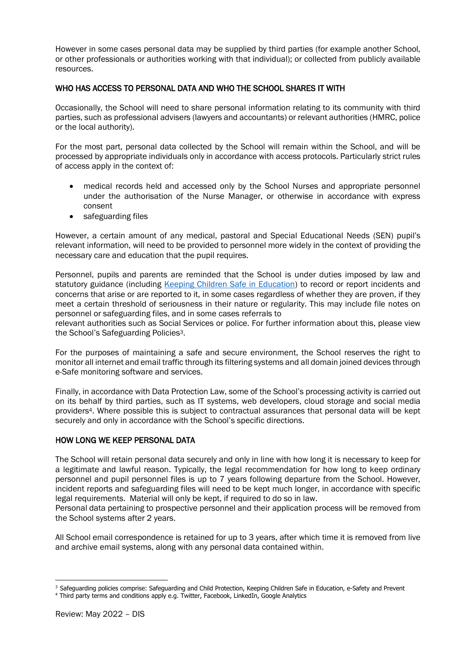However in some cases personal data may be supplied by third parties (for example another School, or other professionals or authorities working with that individual); or collected from publicly available resources.

## WHO HAS ACCESS TO PERSONAL DATA AND WHO THE SCHOOL SHARES IT WITH

Occasionally, the School will need to share personal information relating to its community with third parties, such as professional advisers (lawyers and accountants) or relevant authorities (HMRC, police or the local authority).

For the most part, personal data collected by the School will remain within the School, and will be processed by appropriate individuals only in accordance with access protocols. Particularly strict rules of access apply in the context of:

- medical records held and accessed only by the School Nurses and appropriate personnel under the authorisation of the Nurse Manager, or otherwise in accordance with express consent
- safeguarding files

However, a certain amount of any medical, pastoral and Special Educational Needs (SEN) pupil's relevant information, will need to be provided to personnel more widely in the context of providing the necessary care and education that the pupil requires.

Personnel, pupils and parents are reminded that the School is under duties imposed by law and statutory guidance (including [Keeping Children Safe in Education\)](https://www.gov.uk/government/publications/keeping-children-safe-in-education--2) to record or report incidents and concerns that arise or are reported to it, in some cases regardless of whether they are proven, if they meet a certain threshold of seriousness in their nature or regularity. This may include file notes on personnel or safeguarding files, and in some cases referrals to

relevant authorities such as Social Services or police. For further information about this, please view the School's Safeguarding Policies3.

For the purposes of maintaining a safe and secure environment, the School reserves the right to monitor all internet and email traffic through its filtering systems and all domain joined devices through e-Safe monitoring software and services.

Finally, in accordance with Data Protection Law, some of the School's processing activity is carried out on its behalf by third parties, such as IT systems, web developers, cloud storage and social media providers4. Where possible this is subject to contractual assurances that personal data will be kept securely and only in accordance with the School's specific directions.

#### HOW LONG WE KEEP PERSONAL DATA

The School will retain personal data securely and only in line with how long it is necessary to keep for a legitimate and lawful reason. Typically, the legal recommendation for how long to keep ordinary personnel and pupil personnel files is up to 7 years following departure from the School. However, incident reports and safeguarding files will need to be kept much longer, in accordance with specific legal requirements. Material will only be kept, if required to do so in law.

Personal data pertaining to prospective personnel and their application process will be removed from the School systems after 2 years.

All School email correspondence is retained for up to 3 years, after which time it is removed from live and archive email systems, along with any personal data contained within.

<sup>&</sup>lt;sup>3</sup> Safeguarding policies comprise: Safeguarding and Child Protection, Keeping Children Safe in Education, e-Safety and Prevent

<sup>4</sup> Third party terms and conditions apply e.g. Twitter, Facebook, LinkedIn, Google Analytics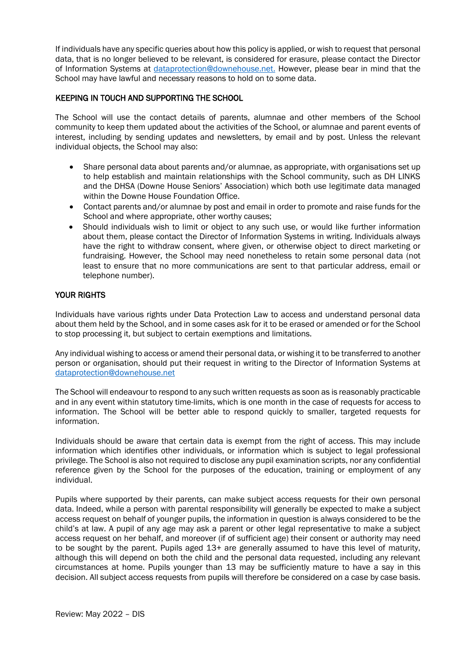If individuals have any specific queries about how this policy is applied, or wish to request that personal data, that is no longer believed to be relevant, is considered for erasure, please contact the Director of Information Systems at [dataprotection@downehouse.net.](mailto:dataprotection@downehouse.net) However, please bear in mind that the School may have lawful and necessary reasons to hold on to some data.

### KEEPING IN TOUCH AND SUPPORTING THE SCHOOL

The School will use the contact details of parents, alumnae and other members of the School community to keep them updated about the activities of the School, or alumnae and parent events of interest, including by sending updates and newsletters, by email and by post. Unless the relevant individual objects, the School may also:

- Share personal data about parents and/or alumnae, as appropriate, with organisations set up to help establish and maintain relationships with the School community, such as DH LINKS and the DHSA (Downe House Seniors' Association) which both use legitimate data managed within the Downe House Foundation Office.
- Contact parents and/or alumnae by post and email in order to promote and raise funds for the School and where appropriate, other worthy causes;
- Should individuals wish to limit or object to any such use, or would like further information about them, please contact the Director of Information Systems in writing. Individuals always have the right to withdraw consent, where given, or otherwise object to direct marketing or fundraising. However, the School may need nonetheless to retain some personal data (not least to ensure that no more communications are sent to that particular address, email or telephone number).

## YOUR RIGHTS

Individuals have various rights under Data Protection Law to access and understand personal data about them held by the School, and in some cases ask for it to be erased or amended or for the School to stop processing it, but subject to certain exemptions and limitations.

Any individual wishing to access or amend their personal data, or wishing it to be transferred to another person or organisation, should put their request in writing to the Director of Information Systems at [dataprotection@downehouse.net](mailto:dataprotection@downehouse.net) 

The School will endeavour to respond to any such written requests as soon as is reasonably practicable and in any event within statutory time-limits, which is one month in the case of requests for access to information. The School will be better able to respond quickly to smaller, targeted requests for information.

Individuals should be aware that certain data is exempt from the right of access. This may include information which identifies other individuals, or information which is subject to legal professional privilege. The School is also not required to disclose any pupil examination scripts, nor any confidential reference given by the School for the purposes of the education, training or employment of any individual.

Pupils where supported by their parents, can make subject access requests for their own personal data. Indeed, while a person with parental responsibility will generally be expected to make a subject access request on behalf of younger pupils, the information in question is always considered to be the child's at law. A pupil of any age may ask a parent or other legal representative to make a subject access request on her behalf, and moreover (if of sufficient age) their consent or authority may need to be sought by the parent. Pupils aged 13+ are generally assumed to have this level of maturity, although this will depend on both the child and the personal data requested, including any relevant circumstances at home. Pupils younger than 13 may be sufficiently mature to have a say in this decision. All subject access requests from pupils will therefore be considered on a case by case basis.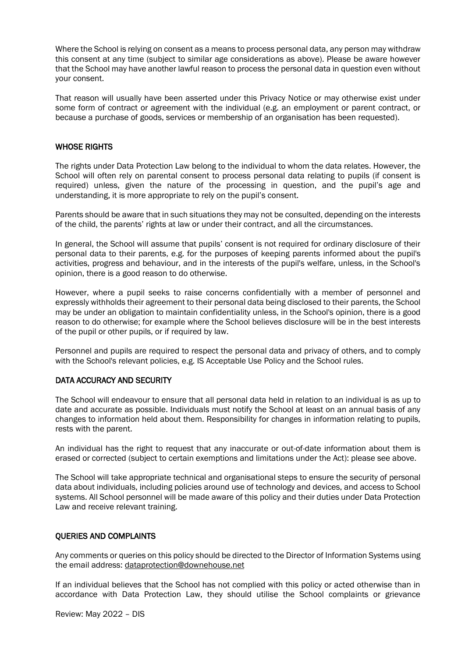Where the School is relying on consent as a means to process personal data, any person may withdraw this consent at any time (subject to similar age considerations as above). Please be aware however that the School may have another lawful reason to process the personal data in question even without your consent.

That reason will usually have been asserted under this Privacy Notice or may otherwise exist under some form of contract or agreement with the individual (e.g. an employment or parent contract, or because a purchase of goods, services or membership of an organisation has been requested).

#### WHOSE RIGHTS

The rights under Data Protection Law belong to the individual to whom the data relates. However, the School will often rely on parental consent to process personal data relating to pupils (if consent is required) unless, given the nature of the processing in question, and the pupil's age and understanding, it is more appropriate to rely on the pupil's consent.

Parents should be aware that in such situations they may not be consulted, depending on the interests of the child, the parents' rights at law or under their contract, and all the circumstances.

In general, the School will assume that pupils' consent is not required for ordinary disclosure of their personal data to their parents, e.g. for the purposes of keeping parents informed about the pupil's activities, progress and behaviour, and in the interests of the pupil's welfare, unless, in the School's opinion, there is a good reason to do otherwise.

However, where a pupil seeks to raise concerns confidentially with a member of personnel and expressly withholds their agreement to their personal data being disclosed to their parents, the School may be under an obligation to maintain confidentiality unless, in the School's opinion, there is a good reason to do otherwise; for example where the School believes disclosure will be in the best interests of the pupil or other pupils, or if required by law.

Personnel and pupils are required to respect the personal data and privacy of others, and to comply with the School's relevant policies, e.g. IS Acceptable Use Policy and the School rules.

# DATA ACCURACY AND SECURITY

The School will endeavour to ensure that all personal data held in relation to an individual is as up to date and accurate as possible. Individuals must notify the School at least on an annual basis of any changes to information held about them. Responsibility for changes in information relating to pupils, rests with the parent.

An individual has the right to request that any inaccurate or out-of-date information about them is erased or corrected (subject to certain exemptions and limitations under the Act): please see above.

The School will take appropriate technical and organisational steps to ensure the security of personal data about individuals, including policies around use of technology and devices, and access to School systems. All School personnel will be made aware of this policy and their duties under Data Protection Law and receive relevant training.

#### QUERIES AND COMPLAINTS

Any comments or queries on this policy should be directed to the Director of Information Systems using the email address[: dataprotection@downehouse.net](mailto:dataprotection@downehouse.net) 

If an individual believes that the School has not complied with this policy or acted otherwise than in accordance with Data Protection Law, they should utilise the School complaints or grievance